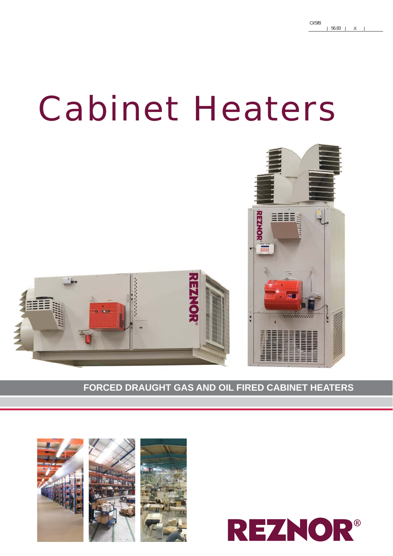# Cabinet Heaters



**FORCED DRAUGHT GAS AND OIL FIRED CABINET HEATERS**



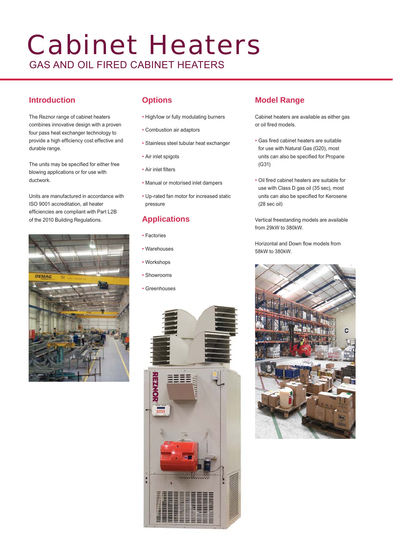# Cabinet Heaters GAS AND OIL FIRED CABINET HEATERS

# **Introduction**

The Reznor range of cabinet heaters combines innovative design with a proven four pass heat exchanger technology to provide a high efficiency cost effective and durable range.

The units may be specified for either free blowing applications or for use with ductwork.

Units are manufactured in accordance with ISO 9001 accreditation, all heater efficiencies are compliant with Part L2B of the 2010 Building Regulations.



# **Options**

- High/low or fully modulating burners
- Combustion air adaptors
- Stainless steel tubular heat exchanger
- Air inlet spigots
- Air inlet filters
- Manual or motorised inlet dampers
- Up-rated fan motor for increased static pressure

# **Applications**

- Factories
- Warehouses
- Workshops
- Showrooms
- Greenhouses



# **Model Range**

Cabinet heaters are available as either gas or oil fired models.

- Gas fired cabinet heaters are suitable for use with Natural Gas (G20), most units can also be specified for Propane (G31)
- Oil fired cabinet heaters are suitable for use with Class D gas oil (35 sec), most units can also be specified for Kerosene (28 sec oil)

Vertical freestanding models are available from 29kW to 380kW.

Horizontal and Down flow models from 58kW to 380kW.

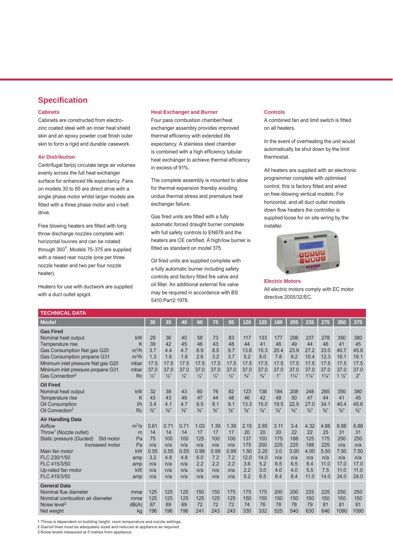### **Specifi cation**

#### **Cabinets**

Cabinets are constructed from electrozinc coated steel with an inner heat shield skin and an epoxy powder coat finish outer skin to form a rigid and durable casework.

#### **Air Distribution**

Centrifugal fan(s) circulate large air volumes evenly across the full heat exchanger surface for enhanced life expectancy. Fans on models 30 to 85 are direct drive with a single phase motor whilst larger models are fitted with a three phase motor and v-belt drive.

Free blowing heaters are fitted with long throw discharge nozzles complete with horizontal louvres and can be rotated through  $360^\circ$ . Models 75-375 are supplied with a raised rear nozzle (one per three nozzle heater and two per four nozzle heater).

Heaters for use with ductwork are supplied with a duct outlet spigot.

#### **Heat Exchanger and Burner**

Four pass combustion chamber/heat exchanger assembly provides improved thermal efficiency with extended life expectancy. A stainless steel chamber is combined with a high efficiency tubular heat exchanger to achieve thermal efficiency in excess of 91%.

The complete assembly is mounted to allow for thermal expansion thereby avoiding undue thermal stress and premature heat exchanger failure.

Gas fired units are fitted with a fully automatic forced draught burner complete with full safety controls to EN676 and the heaters are CE certified. A high/low burner is fitted as standard on model 375.

Oil fired units are supplied complete with a fully automatic burner including safety controls and factory fitted fire valve and oil filter. An additional external fire valve may be required in accordance with BS 5410:Part2:1978.

#### **Controls**

A combined fan and limit switch is fitted on all heaters.

In the event of overheating the unit would automatically be shut down by the limit thermostat.

All heaters are supplied with an electronic programmer complete with optimised control, this is factory fitted and wired on free-blowing vertical models. For horizontal, and all duct outlet models down flow heaters the controller is supplied loose for on site wiring by the installer.



**Electric Motors** All electric motors comply with EC motor directive 2005/32/EC.

| <b>TECHNICAL DATA</b>                                                                                                                                                                                                                |                                                                   |                                                             |                                                              |                                                              |                                                              |                                                              |                                                              |                                                               |                                                               |                                                             |                                                             |                                                               |                                                                |                                                                 |                                                                 |
|--------------------------------------------------------------------------------------------------------------------------------------------------------------------------------------------------------------------------------------|-------------------------------------------------------------------|-------------------------------------------------------------|--------------------------------------------------------------|--------------------------------------------------------------|--------------------------------------------------------------|--------------------------------------------------------------|--------------------------------------------------------------|---------------------------------------------------------------|---------------------------------------------------------------|-------------------------------------------------------------|-------------------------------------------------------------|---------------------------------------------------------------|----------------------------------------------------------------|-----------------------------------------------------------------|-----------------------------------------------------------------|
| <b>Model</b>                                                                                                                                                                                                                         |                                                                   | 30                                                          | 35                                                           | 40                                                           | 60                                                           | 75                                                           | 85                                                           | 120                                                           | 135                                                           | 180                                                         | 205                                                         | 235                                                           | 275                                                            | 350                                                             | 375                                                             |
| <b>Gas Fired</b><br>Nominal heat output<br>Temperature rise<br>Gas Consumption Nat gas G20<br>Gas Consumption propane G31<br>Minimum inlet pressure Nat gas G20<br>Minimum inlet pressure propane G31<br>Gas Connection <sup>2</sup> | <b>kW</b><br>Κ<br>$m^3/h$<br>$m^3/h$<br>mbar<br>mbar<br><b>Rc</b> | 29<br>39<br>3.7<br>1.3<br>17.5<br>37.0<br>$\frac{1}{2}$     | 36<br>42<br>4.4<br>1.6<br>17.5<br>37.0<br>$\frac{1}{2}$      | 40<br>45<br>4.7<br>1.8<br>17.5<br>37.0<br>$\frac{1}{2}$      | 58<br>46<br>6.9<br>2.6<br>17.5<br>37.0<br>$\frac{1}{2}$ "    | 73<br>43<br>8.5<br>3.2<br>17.5<br>37.0<br>$\frac{1}{2}$      | 83<br>48<br>9.7<br>3.7<br>17.5<br>37.0<br>$\frac{1}{2}$      | 117<br>44<br>13.6<br>5.2<br>17.5<br>37.0<br>$\frac{3}{4}$     | 133<br>41<br>15.3<br>6.0<br>17.5<br>37.0<br>$\frac{3}{4}$     | 177<br>46<br>20.4<br>7.8<br>17.5<br>37.0<br>1"              | 206<br>49<br>23.9<br>9.2<br>17.5<br>37.0<br>$1\frac{1}{4}$  | 237<br>44<br>27.2<br>10.4<br>17.5<br>37.0<br>$1\frac{1}{4}$   | 278<br>46<br>33.0<br>12.3<br>17.5<br>37.0<br>$1\frac{1}{4}$    | 350<br>41<br>40.7<br>16.1<br>17.5<br>37.0<br>$1\frac{1}{2}$     | 380<br>45<br>45.8<br>18.1<br>17.5<br>37.0<br>2"                 |
| <b>Oil Fired</b><br>Nominal heat output<br>Temperature rise<br>Oil Consumption<br>Oil Connection <sup>2</sup>                                                                                                                        | kW<br>K<br>1/h<br><b>Rc</b>                                       | 32<br>43<br>3.4<br>$\frac{3}{8}$ "                          | 38<br>43<br>4.1<br>$\frac{3}{8}$ "                           | 43<br>49<br>4.7<br>$\frac{3}{8}$ "                           | 60<br>47<br>6.5<br>$\frac{3}{8}$ "                           | 76<br>44<br>8.1<br>$\frac{3}{8}$ "                           | 82<br>48<br>9.1<br>$\frac{3}{8}$ "                           | 123<br>46<br>13.3<br>$\frac{3}{8}$ "                          | 138<br>42<br>15.0<br>$\frac{3}{8}$ "                          | 184<br>48<br>19.5<br>$\frac{3}{8}$ "                        | 208<br>50<br>22.5<br>$\frac{3}{8}$ "                        | 248<br>47<br>27.0<br>$\frac{3}{8}$ "                          | 265<br>44<br>34.1<br>$\frac{3}{8}$ "                           | 350<br>41<br>40.4<br>$\frac{3}{8}$ "                            | 380<br>45<br>45.6<br>$\frac{3}{8}$ "                            |
| <b>Air Handling Data</b><br>Airflow<br>Throw <sup>1</sup> (Nozzle outlet)<br>Static pressure (Ducted)<br>Std motor<br>Increased motor<br>Main fan motor<br>FLC 230/1/50<br>FLC 415/3/50<br>Up-rated fan motor<br>FLC 415/3/50        | $m^3/s$<br>m<br>Pa<br>Pa<br>kW<br>amp<br>amp<br>kW<br>amp         | 0.61<br>14<br>75<br>n/a<br>0.55<br>3.2<br>n/a<br>n/a<br>n/a | 0.71<br>14<br>100<br>n/a<br>0.55<br>4.8<br>n/a<br>n/a<br>n/a | 0.71<br>14<br>100<br>n/a<br>0.55<br>4.8<br>n/a<br>n/a<br>n/a | 1.03<br>17<br>125<br>n/a<br>0.99<br>6.0<br>2.2<br>n/a<br>n/a | 1.39<br>17<br>100<br>n/a<br>0.99<br>7.2<br>2.2<br>n/a<br>n/a | 1.39<br>17<br>100<br>n/a<br>0.99<br>7.2<br>2.2<br>n/a<br>n/a | 2.15<br>20<br>137<br>175<br>1.50<br>12.0<br>3.6<br>2.2<br>5.2 | 2.65<br>20<br>150<br>200<br>2.20<br>14.0<br>5.2<br>3.0<br>6.5 | 3.11<br>20<br>175<br>225<br>3.0<br>n/a<br>6.5<br>4.0<br>8.4 | 3.4<br>22<br>188<br>225<br>3.00<br>n/a<br>6.5<br>4.0<br>8.4 | 4.32<br>22<br>125<br>188<br>4.00<br>n/a<br>8.4<br>5.5<br>11.0 | 4.86<br>25<br>175<br>225<br>5.50<br>n/a<br>11.0<br>7.5<br>14.0 | 6.88<br>31<br>250<br>n/a<br>7.50<br>n/a<br>17.0<br>11.0<br>24.0 | 6.88<br>31<br>250<br>n/a<br>7.50<br>n/a<br>17.0<br>11.0<br>24.0 |
| <b>General Data</b><br>Nominal flue diameter<br>Nominal combustion air diameter<br>Noise level <sup>3</sup><br>Net weight                                                                                                            | mmø<br>mmø<br>dB(A)<br>kg                                         | 125<br>125<br>67<br>196                                     | 125<br>125<br>69<br>196                                      | 125<br>125<br>69<br>196                                      | 150<br>125<br>72<br>241                                      | 150<br>125<br>72<br>243                                      | 175<br>125<br>72<br>243                                      | 175<br>150<br>74<br>330                                       | 175<br>150<br>76<br>332                                       | 200<br>150<br>78<br>525                                     | 200<br>150<br>78<br>540                                     | 225<br>150<br>79<br>630                                       | 225<br>150<br>81<br>646                                        | 250<br>150<br>81<br>1090                                        | 250<br>150<br>81<br>1090                                        |

1 Throw is dependent on building height, room temperature and nozzle settings.

2 Gas/oil lines must be adequately sized and reduced at appliance as required.

3 Noise levels measured at 5 metres from appliance.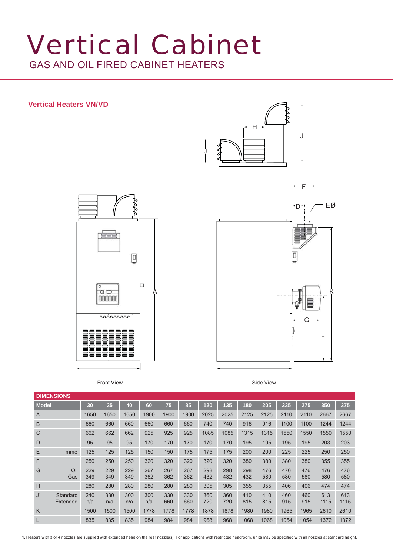# Vertical Cabinet GAS AND OIL FIRED CABINET HEATERS

### **Vertical Heaters VN/VD**







Front View **Side View** Side View Side View Side View Side View Side View Side View Side View Side View Side View Side View Side View Side View Side View Side View Side View Side View Side View Side View Side View Side View

| <b>DIMENSIONS</b> |                      |            |            |            |            |            |            |            |            |            |            |            |            |             |             |
|-------------------|----------------------|------------|------------|------------|------------|------------|------------|------------|------------|------------|------------|------------|------------|-------------|-------------|
| <b>Model</b>      |                      | 30         | 35         | 40         | 60         | 75         | 85         | 120        | 135        | 180        | 205        | 235        | 275        | 350         | 375         |
| $\overline{A}$    |                      | 1650       | 1650       | 1650       | 1900       | 1900       | 1900       | 2025       | 2025       | 2125       | 2125       | 2110       | 2110       | 2667        | 2667        |
| B                 |                      | 660        | 660        | 660        | 660        | 660        | 660        | 740        | 740        | 916        | 916        | 1100       | 1100       | 1244        | 1244        |
| C                 |                      | 662        | 662        | 662        | 925        | 925        | 925        | 1085       | 1085       | 1315       | 1315       | 1550       | 1550       | 1550        | 1550        |
| D                 |                      | 95         | 95         | 95         | 170        | 170        | 170        | 170        | 170        | 195        | 195        | 195        | 195        | 203         | 203         |
| E                 | mmø                  | 125        | 125        | 125        | 150        | 150        | 175        | 175        | 175        | 200        | 200        | 225        | 225        | 250         | 250         |
| F                 |                      | 250        | 250        | 250        | 320        | 320        | 320        | 320        | 320        | 380        | 380        | 380        | 380        | 355         | 355         |
| G                 | Oil<br>Gas           | 229<br>349 | 229<br>349 | 229<br>349 | 267<br>362 | 267<br>362 | 267<br>362 | 298<br>432 | 298<br>432 | 298<br>432 | 476<br>580 | 476<br>580 | 476<br>580 | 476<br>580  | 476<br>580  |
| H                 |                      | 280        | 280        | 280        | 280        | 280        | 280        | 305        | 305        | 355        | 355        | 406        | 406        | 474         | 474         |
| J <sup>1</sup>    | Standard<br>Extended | 240<br>n/a | 330<br>n/a | 300<br>n/a | 300<br>n/a | 330<br>660 | 330<br>660 | 360<br>720 | 360<br>720 | 410<br>815 | 410<br>815 | 460<br>915 | 460<br>915 | 613<br>1115 | 613<br>1115 |
| K                 |                      | 1500       | 1500       | 1500       | 1778       | 1778       | 1778       | 1878       | 1878       | 1980       | 1980       | 1965       | 1965       | 2610        | 2610        |
|                   |                      | 835        | 835        | 835        | 984        | 984        | 984        | 968        | 968        | 1068       | 1068       | 1054       | 1054       | 1372        | 1372        |

1. Heaters with 3 or 4 nozzles are supplied with extended head on the rear nozzle(s). For applications with restricted headroom, units may be specifi ed with all nozzles at standard height.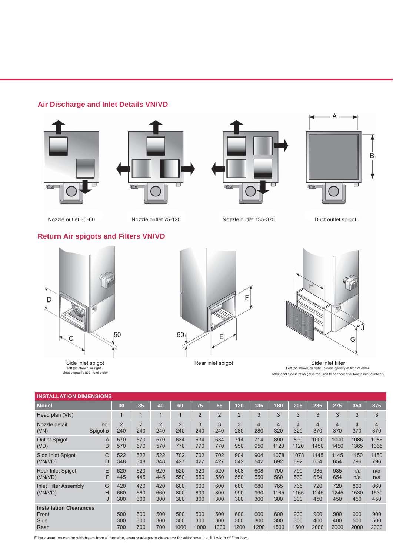# **Air Discharge and Inlet Details VN/VD**









Nozzle outlet 30-60 Nozzle outlet 75-120 Nozzle outlet 135-375 Duct outlet spigot

# **Return Air spigots and Filters VN/VD**



Side inlet spigot left (as shown) or right - please specify at time of order





Rear inlet spigot Side inlet filter Left (as shown) or right - please specify at time of order. Additional side inlet spigot is required to connect filter box to inlet ductwork

| <b>INSTALLATION DIMENSIONS</b>                          |                 |                       |                       |                       |                       |                    |                    |                    |                       |                    |                       |                       |                       |                       |                    |
|---------------------------------------------------------|-----------------|-----------------------|-----------------------|-----------------------|-----------------------|--------------------|--------------------|--------------------|-----------------------|--------------------|-----------------------|-----------------------|-----------------------|-----------------------|--------------------|
| <b>Model</b>                                            |                 | 30                    | 35                    | 40                    | 60                    | 75                 | 85                 | 120                | 135                   | 180                | 205                   | 235                   | 275                   | 350                   | 375                |
| Head plan (VN)                                          |                 | $\mathbf{1}$          | $\blacktriangleleft$  | 1                     |                       | $\overline{2}$     | $\overline{2}$     | $\overline{2}$     | 3                     | 3                  | 3                     | 3                     | 3                     | 3                     | 3                  |
| Nozzle detail<br>(VN)                                   | no.<br>Spigot ø | $\overline{2}$<br>240 | $\overline{2}$<br>240 | $\overline{2}$<br>240 | $\overline{2}$<br>240 | 3<br>240           | 3<br>240           | 3<br>280           | $\overline{4}$<br>280 | 4<br>320           | $\overline{4}$<br>320 | $\overline{4}$<br>370 | $\overline{4}$<br>370 | $\overline{4}$<br>370 | 4<br>370           |
| <b>Outlet Spigot</b><br>(VD)                            | A<br>B          | 570<br>570            | 570<br>570            | 570<br>570            | 634<br>770            | 634<br>770         | 634<br>770         | 714<br>950         | 714<br>950            | 890<br>1120        | 890<br>1120           | 1000<br>1450          | 1000<br>1450          | 1086<br>1365          | 1086<br>1365       |
| Side Inlet Spigot<br>(VN/VD)                            | C<br>D          | 522<br>348            | 522<br>348            | 522<br>348            | 702<br>427            | 702<br>427         | 702<br>427         | 904<br>542         | 904<br>542            | 1078<br>692        | 1078<br>692           | 1145<br>654           | 1145<br>654           | 1150<br>796           | 1150<br>796        |
| <b>Rear Inlet Spigot</b><br>(VN/VD)                     | E<br>F          | 620<br>445            | 620<br>445            | 620<br>445            | 520<br>550            | 520<br>550         | 520<br>550         | 608<br>550         | 608<br>550            | 790<br>560         | 790<br>560            | 935<br>654            | 935<br>654            | n/a<br>n/a            | n/a<br>n/a         |
| <b>Inlet Filter Assembly</b><br>(VN/VD)                 | G<br>H<br>J     | 420<br>660<br>300     | 420<br>660<br>300     | 420<br>660<br>300     | 600<br>800<br>300     | 600<br>800<br>300  | 600<br>800<br>300  | 680<br>990<br>300  | 680<br>990<br>300     | 765<br>1165<br>300 | 765<br>1165<br>300    | 720<br>1245<br>450    | 720<br>1245<br>450    | 860<br>1530<br>450    | 860<br>1530<br>450 |
| <b>Installation Clearances</b><br>Front<br>Side<br>Rear |                 | 500<br>300<br>700     | 500<br>300<br>700     | 500<br>300<br>700     | 500<br>300<br>1000    | 500<br>300<br>1000 | 500<br>300<br>1000 | 600<br>300<br>1200 | 600<br>300<br>1200    | 600<br>300<br>1500 | 900<br>300<br>1500    | 900<br>400<br>2000    | 900<br>400<br>2000    | 900<br>500<br>2000    | 900<br>500<br>2000 |

Filter cassettes can be withdrawn from either side, ensure adequate clearance for withdrawal i.e. full width of filter box.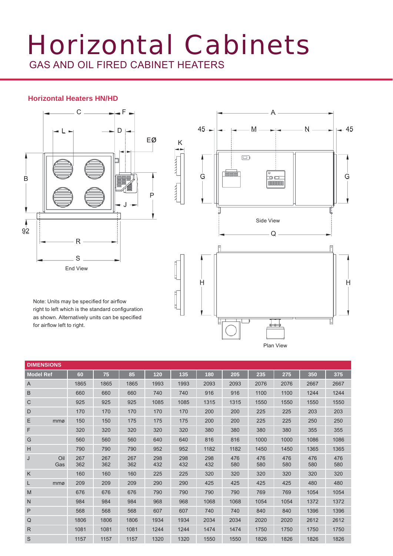# Horizontal Cabinets GAS AND OIL FIRED CABINET HEATERS

France

**HAMAL** 

### **Horizontal Heaters HN/HD**



Note: Units may be specified for airflow right to left which is the standard configuration as shown. Alternatively units can be specified for airflow left to right.



|                  | <b>DIMENSIONS</b> |            |            |            |            |            |            |            |            |            |            |            |  |  |
|------------------|-------------------|------------|------------|------------|------------|------------|------------|------------|------------|------------|------------|------------|--|--|
| <b>Model Ref</b> |                   | 60         | 75         | 85         | 120        | 135        | 180        | 205        | 235        | 275        | 350        | 375        |  |  |
| A                |                   | 1865       | 1865       | 1865       | 1993       | 1993       | 2093       | 2093       | 2076       | 2076       | 2667       | 2667       |  |  |
| B                |                   | 660        | 660        | 660        | 740        | 740        | 916        | 916        | 1100       | 1100       | 1244       | 1244       |  |  |
| С                |                   | 925        | 925        | 925        | 1085       | 1085       | 1315       | 1315       | 1550       | 1550       | 1550       | 1550       |  |  |
| D                |                   | 170        | 170        | 170        | 170        | 170        | 200        | 200        | 225        | 225        | 203        | 203        |  |  |
| Ε                | mmø               | 150        | 150        | 175        | 175        | 175        | 200        | 200        | 225        | 225        | 250        | 250        |  |  |
| F                |                   | 320        | 320        | 320        | 320        | 320        | 380        | 380        | 380        | 380        | 355        | 355        |  |  |
| G                |                   | 560        | 560        | 560        | 640        | 640        | 816        | 816        | 1000       | 1000       | 1086       | 1086       |  |  |
| Н                |                   | 790        | 790        | 790        | 952        | 952        | 1182       | 1182       | 1450       | 1450       | 1365       | 1365       |  |  |
| J                | Oil<br>Gas        | 267<br>362 | 267<br>362 | 267<br>362 | 298<br>432 | 298<br>432 | 298<br>432 | 476<br>580 | 476<br>580 | 476<br>580 | 476<br>580 | 476<br>580 |  |  |
| K                |                   | 160        | 160        | 160        | 225        | 225        | 320        | 320        | 320        | 320        | 320        | 320        |  |  |
| L                | mmø               | 209        | 209        | 209        | 290        | 290        | 425        | 425        | 425        | 425        | 480        | 480        |  |  |
| M                |                   | 676        | 676        | 676        | 790        | 790        | 790        | 790        | 769        | 769        | 1054       | 1054       |  |  |
| N                |                   | 984        | 984        | 984        | 968        | 968        | 1068       | 1068       | 1054       | 1054       | 1372       | 1372       |  |  |
| P                |                   | 568        | 568        | 568        | 607        | 607        | 740        | 740        | 840        | 840        | 1396       | 1396       |  |  |
| Q                |                   | 1806       | 1806       | 1806       | 1934       | 1934       | 2034       | 2034       | 2020       | 2020       | 2612       | 2612       |  |  |
| R                |                   | 1081       | 1081       | 1081       | 1244       | 1244       | 1474       | 1474       | 1750       | 1750       | 1750       | 1750       |  |  |
| S                |                   | 1157       | 1157       | 1157       | 1320       | 1320       | 1550       | 1550       | 1826       | 1826       | 1826       | 1826       |  |  |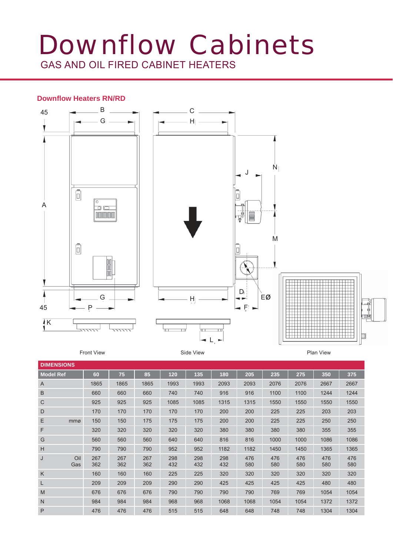# Downflow Cabinets GAS AND OIL FIRED CABINET HEATERS

### **Downfl ow Heaters RN/RD**



Front View **Side View** Side View

Plan View

| <b>DIMENSIONS</b> |            |            |            |            |            |            |            |            |            |            |            |  |  |  |
|-------------------|------------|------------|------------|------------|------------|------------|------------|------------|------------|------------|------------|--|--|--|
| <b>Model Ref</b>  | 60         | 75         | 85         | 120        | 135        | 180        | 205        | 235        | 275        | 350        | 375        |  |  |  |
| $\overline{A}$    | 1865       | 1865       | 1865       | 1993       | 1993       | 2093       | 2093       | 2076       | 2076       | 2667       | 2667       |  |  |  |
| B                 | 660        | 660        | 660        | 740        | 740        | 916        | 916        | 1100       | 1100       | 1244       | 1244       |  |  |  |
| С                 | 925        | 925        | 925        | 1085       | 1085       | 1315       | 1315       | 1550       | 1550       | 1550       | 1550       |  |  |  |
| D                 | 170        | 170        | 170        | 170        | 170        | 200        | 200        | 225        | 225        | 203        | 203        |  |  |  |
| Ε<br>mmø          | 150        | 150        | 175        | 175        | 175        | 200        | 200        | 225        | 225        | 250        | 250        |  |  |  |
| F                 | 320        | 320        | 320        | 320        | 320        | 380        | 380        | 380        | 380        | 355        | 355        |  |  |  |
| G                 | 560        | 560        | 560        | 640        | 640        | 816        | 816        | 1000       | 1000       | 1086       | 1086       |  |  |  |
| Н                 | 790        | 790        | 790        | 952        | 952        | 1182       | 1182       | 1450       | 1450       | 1365       | 1365       |  |  |  |
| Oil<br>J<br>Gas   | 267<br>362 | 267<br>362 | 267<br>362 | 298<br>432 | 298<br>432 | 298<br>432 | 476<br>580 | 476<br>580 | 476<br>580 | 476<br>580 | 476<br>580 |  |  |  |
| Κ                 | 160        | 160        | 160        | 225        | 225        | 320        | 320        | 320        | 320        | 320        | 320        |  |  |  |
| L                 | 209        | 209        | 209        | 290        | 290        | 425        | 425        | 425        | 425        | 480        | 480        |  |  |  |
| M                 | 676        | 676        | 676        | 790        | 790        | 790        | 790        | 769        | 769        | 1054       | 1054       |  |  |  |
| N                 | 984        | 984        | 984        | 968        | 968        | 1068       | 1068       | 1054       | 1054       | 1372       | 1372       |  |  |  |
| P                 | 476        | 476        | 476        | 515        | 515        | 648        | 648        | 748        | 748        | 1304       | 1304       |  |  |  |